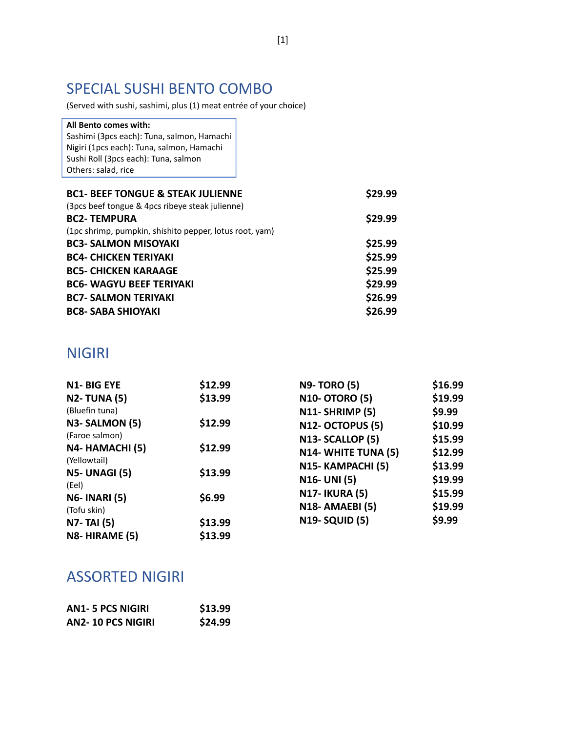# SPECIAL SUSHI BENTO COMBO

(Served with sushi, sashimi, plus (1) meat entrée of your choice)

| All Bento comes with:                                   |
|---------------------------------------------------------|
| Sashimi (3pcs each): Tuna, salmon, Hamachi              |
| Nigiri (1pcs each): Tuna, salmon, Hamachi               |
| Sushi Roll (3pcs each): Tuna, salmon                    |
| Others: salad, rice                                     |
|                                                         |
| <b>BC1- BEEF TONGUE &amp; STEAK JULIENNE</b>            |
| (3pcs beef tongue & 4pcs ribeye steak julienne)         |
| <b>BC2-TEMPURA</b>                                      |
| (1pc shrimp, pumpkin, shishito pepper, lotus root, yam) |
| <b>BC3- SALMON MISOYAKI</b>                             |
| <b>BC4- CHICKEN TERIYAKI</b>                            |
| <b>BC5- CHICKEN KARAAGE</b>                             |
| <b>BC6- WAGYU BEEF TERIYAKI</b>                         |
| <b>BC7- SALMON TERIYAKI</b>                             |
| <b>BC8- SABA SHIOYAKI</b>                               |
|                                                         |

# NIGIRI

| <b>N1-BIG EYE</b>                    | \$12.99 | <b>N9-TORO (5)</b>     | \$16.99 |
|--------------------------------------|---------|------------------------|---------|
| <b>N2-TUNA (5)</b>                   | \$13.99 | <b>N10- OTORO (5)</b>  | \$19.99 |
| (Bluefin tuna)                       |         | N11-SHRIMP (5)         | \$9.99  |
| N3-SALMON (5)                        | \$12.99 | N12- OCTOPUS (5)       | \$10.99 |
| (Faroe salmon)                       |         | N13-SCALLOP (5)        | \$15.99 |
| N4- HAMACHI (5)                      | \$12.99 | N14- WHITE TUNA (5)    | \$12.99 |
| (Yellowtail)<br><b>N5- UNAGI (5)</b> | \$13.99 | N15- KAMPACHI (5)      | \$13.99 |
| (Eel)                                |         | <b>N16- UNI (5)</b>    | \$19.99 |
| <b>N6-INARI (5)</b>                  | \$6.99  | <b>N17-IKURA (5)</b>   | \$15.99 |
| (Tofu skin)                          |         | <b>N18- AMAEBI (5)</b> | \$19.99 |
| <b>N7-TAI (5)</b>                    | \$13.99 | <b>N19-SQUID (5)</b>   | \$9.99  |
| N8-HIRAME (5)                        | \$13.99 |                        |         |

#### ASSORTED NIGIRI

| <b>AN1-5 PCS NIGIRI</b> | \$13.99 |
|-------------------------|---------|
| AN2-10 PCS NIGIRI       | \$24.99 |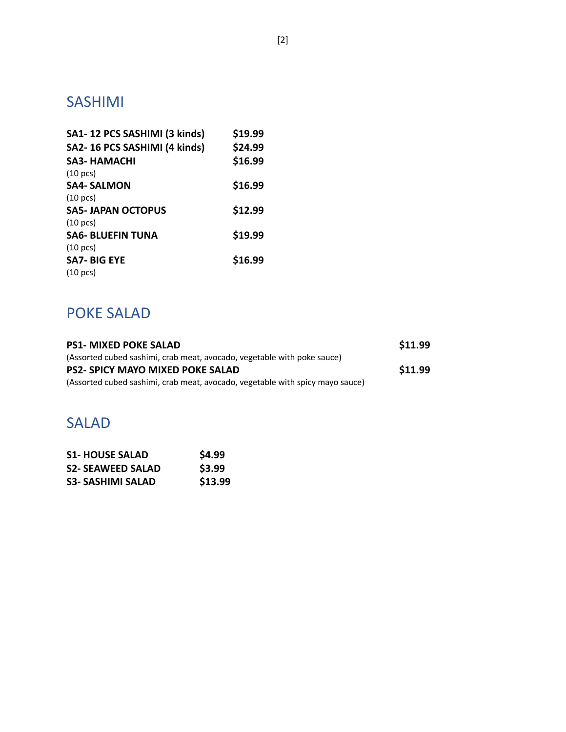# SASHIMI

| SA1-12 PCS SASHIMI (3 kinds) | \$19.99 |
|------------------------------|---------|
| SA2-16 PCS SASHIMI (4 kinds) | \$24.99 |
| <b>SA3- HAMACHI</b>          | \$16.99 |
| $(10 \text{ pcs})$           |         |
| <b>SA4- SALMON</b>           | \$16.99 |
| $(10 \text{ pcs})$           |         |
| <b>SA5-JAPAN OCTOPUS</b>     | \$12.99 |
| $(10 \text{ pcs})$           |         |
| <b>SA6- BLUEFIN TUNA</b>     | \$19.99 |
| $(10 \text{ pcs})$           |         |
| <b>SA7-BIG EYE</b>           | \$16.99 |
| $(10 \text{ pcs})$           |         |

# POKE SALAD

| <b>PS1- MIXED POKE SALAD</b>                                                  | \$11.99 |
|-------------------------------------------------------------------------------|---------|
| (Assorted cubed sashimi, crab meat, avocado, vegetable with poke sauce)       |         |
| <b>PS2- SPICY MAYO MIXED POKE SALAD</b>                                       | \$11.99 |
| (Assorted cubed sashimi, crab meat, avocado, vegetable with spicy mayo sauce) |         |

#### SALAD

| <b>S1-HOUSE SALAD</b>    | \$4.99  |
|--------------------------|---------|
| <b>S2- SEAWEED SALAD</b> | \$3.99  |
| <b>S3- SASHIMI SALAD</b> | \$13.99 |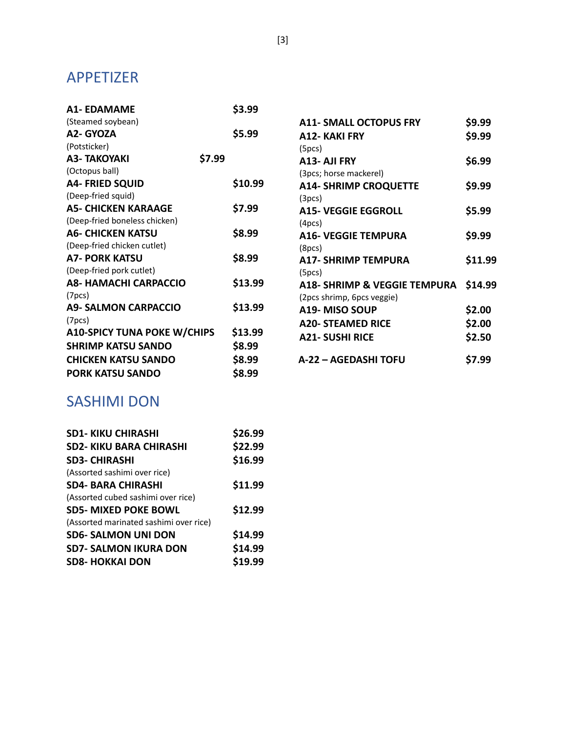#### APPETIZER

| <b>A1- EDAMAME</b>                 |        | \$3.99  |                                         |         |
|------------------------------------|--------|---------|-----------------------------------------|---------|
| (Steamed soybean)                  |        |         | <b>A11- SMALL OCTOPUS FRY</b>           | \$9.99  |
| A2- GYOZA                          |        | \$5.99  | <b>A12- KAKI FRY</b>                    | \$9.99  |
| (Potsticker)                       |        |         | (5pcs)                                  |         |
| <b>A3- TAKOYAKI</b>                | \$7.99 |         | A13- AJI FRY                            | \$6.99  |
| (Octopus ball)                     |        |         | (3pcs; horse mackerel)                  |         |
| <b>A4- FRIED SQUID</b>             |        | \$10.99 | <b>A14- SHRIMP CROQUETTE</b>            | \$9.99  |
| (Deep-fried squid)                 |        |         | (3pcs)                                  |         |
| <b>A5- CHICKEN KARAAGE</b>         |        | \$7.99  | <b>A15- VEGGIE EGGROLL</b>              | \$5.99  |
| (Deep-fried boneless chicken)      |        |         | (4 <sub>pc</sub> s)                     |         |
| <b>A6- CHICKEN KATSU</b>           |        | \$8.99  | <b>A16- VEGGIE TEMPURA</b>              | \$9.99  |
| (Deep-fried chicken cutlet)        |        |         | (8pcs)                                  |         |
| <b>A7- PORK KATSU</b>              |        | \$8.99  | <b>A17- SHRIMP TEMPURA</b>              | \$11.99 |
| (Deep-fried pork cutlet)           |        |         | (5pcs)                                  |         |
| <b>A8- HAMACHI CARPACCIO</b>       |        | \$13.99 | <b>A18- SHRIMP &amp; VEGGIE TEMPURA</b> | \$14.99 |
| (7 <sub>pcs</sub> )                |        |         | (2pcs shrimp, 6pcs veggie)              |         |
| <b>A9- SALMON CARPACCIO</b>        |        | \$13.99 | A19- MISO SOUP                          | \$2.00  |
| (7 <sub>pcs</sub> )                |        |         | <b>A20- STEAMED RICE</b>                | \$2.00  |
| <b>A10-SPICY TUNA POKE W/CHIPS</b> |        | \$13.99 | <b>A21- SUSHI RICE</b>                  | \$2.50  |
| <b>SHRIMP KATSU SANDO</b>          |        | \$8.99  |                                         |         |
| <b>CHICKEN KATSU SANDO</b>         |        | \$8.99  | A-22 - AGEDASHI TOFU                    | \$7.99  |
| <b>PORK KATSU SANDO</b>            |        | \$8.99  |                                         |         |
|                                    |        |         |                                         |         |

# **A12- KAKI FRY \$9.99 A13- AJI FRY \$6.99 A14- SHRIMP CROQUETTE \$9.99 A15- VEGGIE EGGROLL \$5.99 A16- VEGGIE TEMPURA \$9.99 A17- SHRIMP TEMPURA \$11.99 A18- SHRIMP & VEGGIE TEMPURA \$14.99 A19- MISO SOUP \$2.00 A20- STEAMED RICE \$2.00 A21- SUSHI RICE \$2.50**

# SASHIMI DON

| <b>SD1-KIKU CHIRASHI</b>               | \$26.99 |
|----------------------------------------|---------|
| <b>SD2-KIKU BARA CHIRASHI</b>          | \$22.99 |
| <b>SD3- CHIRASHI</b>                   | \$16.99 |
| (Assorted sashimi over rice)           |         |
| <b>SD4- BARA CHIRASHI</b>              | \$11.99 |
| (Assorted cubed sashimi over rice)     |         |
| <b>SD5- MIXED POKE BOWL</b>            | \$12.99 |
| (Assorted marinated sashimi over rice) |         |
| <b>SD6- SALMON UNI DON</b>             | \$14.99 |
| <b>SD7- SALMON IKURA DON</b>           | \$14.99 |
| <b>SD8-HOKKAI DON</b>                  | \$19.99 |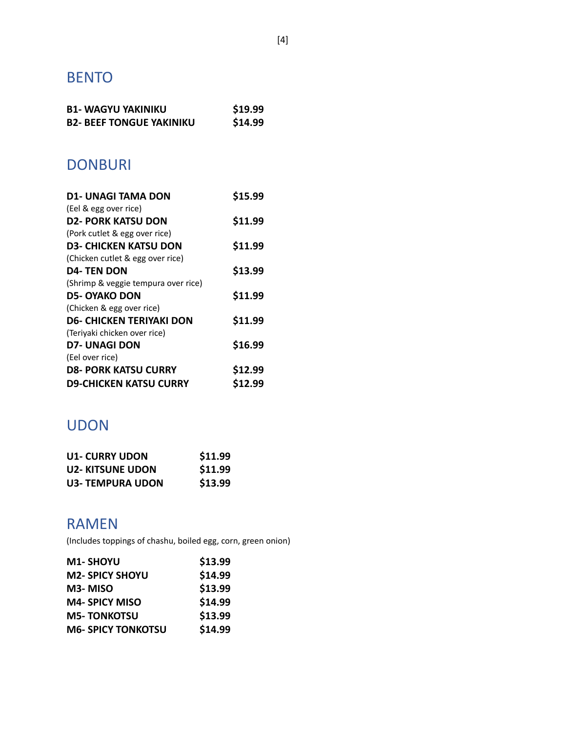# BENTO

| <b>B1- WAGYU YAKINIKU</b>       | \$19.99 |
|---------------------------------|---------|
| <b>B2- BEEF TONGUE YAKINIKU</b> | \$14.99 |

#### DONBURI

| \$15.99 |
|---------|
|         |
| \$11.99 |
|         |
| \$11.99 |
|         |
| \$13.99 |
|         |
| \$11.99 |
|         |
| \$11.99 |
|         |
| \$16.99 |
|         |
| \$12.99 |
| \$12.99 |
|         |

# UDON

| <b>U1- CURRY UDON</b> | \$11.99 |
|-----------------------|---------|
| U2- KITSUNE UDON      | \$11.99 |
| U3- TEMPURA UDON      | \$13.99 |

### RAMEN

(Includes toppings of chashu, boiled egg, corn, green onion)

| <b>M1- SHOYU</b>          | \$13.99 |
|---------------------------|---------|
| <b>M2- SPICY SHOYU</b>    | \$14.99 |
| M3-MISO                   | \$13.99 |
| <b>M4- SPICY MISO</b>     | \$14.99 |
| <b>M5-TONKOTSU</b>        | \$13.99 |
| <b>M6- SPICY TONKOTSU</b> | \$14.99 |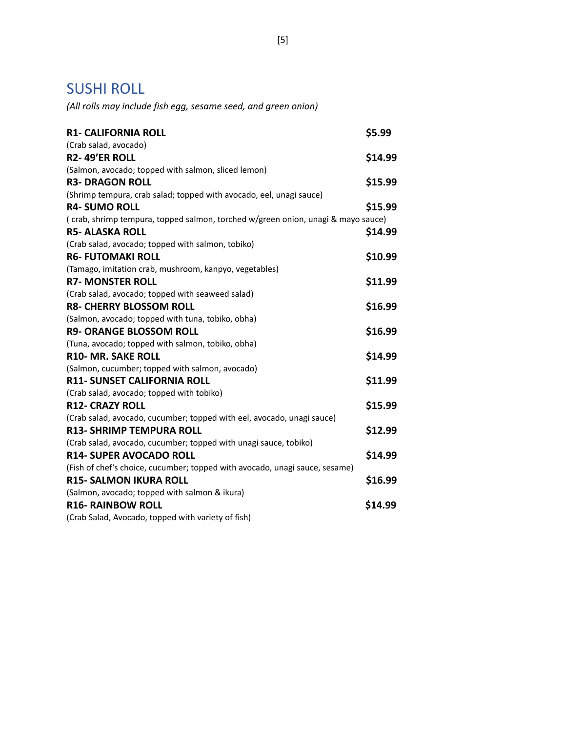#### SUSHI ROLL

*(All rolls may include fish egg, sesame seed, and green onion)*

| <b>R1- CALIFORNIA ROLL</b>                                                       | \$5.99  |
|----------------------------------------------------------------------------------|---------|
| (Crab salad, avocado)                                                            |         |
| <b>R2-49'ER ROLL</b>                                                             | \$14.99 |
| (Salmon, avocado; topped with salmon, sliced lemon)                              |         |
| <b>R3- DRAGON ROLL</b>                                                           | \$15.99 |
| (Shrimp tempura, crab salad; topped with avocado, eel, unagi sauce)              |         |
| <b>R4- SUMO ROLL</b>                                                             | \$15.99 |
| (crab, shrimp tempura, topped salmon, torched w/green onion, unagi & mayo sauce) |         |
| <b>R5- ALASKA ROLL</b>                                                           | \$14.99 |
| (Crab salad, avocado; topped with salmon, tobiko)                                |         |
| <b>R6- FUTOMAKI ROLL</b>                                                         | \$10.99 |
| (Tamago, imitation crab, mushroom, kanpyo, vegetables)                           |         |
| <b>R7- MONSTER ROLL</b>                                                          | \$11.99 |
| (Crab salad, avocado; topped with seaweed salad)                                 |         |
| <b>R8- CHERRY BLOSSOM ROLL</b>                                                   | \$16.99 |
| (Salmon, avocado; topped with tuna, tobiko, obha)                                |         |
| <b>R9- ORANGE BLOSSOM ROLL</b>                                                   | \$16.99 |
| (Tuna, avocado; topped with salmon, tobiko, obha)                                |         |
| <b>R10- MR. SAKE ROLL</b>                                                        | \$14.99 |
| (Salmon, cucumber; topped with salmon, avocado)                                  |         |
| R11- SUNSET CALIFORNIA ROLL                                                      | \$11.99 |
| (Crab salad, avocado; topped with tobiko)                                        |         |
| <b>R12- CRAZY ROLL</b>                                                           | \$15.99 |
| (Crab salad, avocado, cucumber; topped with eel, avocado, unagi sauce)           |         |
| <b>R13- SHRIMP TEMPURA ROLL</b>                                                  | \$12.99 |
| (Crab salad, avocado, cucumber; topped with unagi sauce, tobiko)                 |         |
| <b>R14- SUPER AVOCADO ROLL</b>                                                   | \$14.99 |
| (Fish of chef's choice, cucumber; topped with avocado, unagi sauce, sesame)      |         |
| <b>R15- SALMON IKURA ROLL</b>                                                    | \$16.99 |
| (Salmon, avocado; topped with salmon & ikura)                                    |         |
| <b>R16- RAINBOW ROLL</b>                                                         | \$14.99 |
| (Crab Salad, Avocado, topped with variety of fish)                               |         |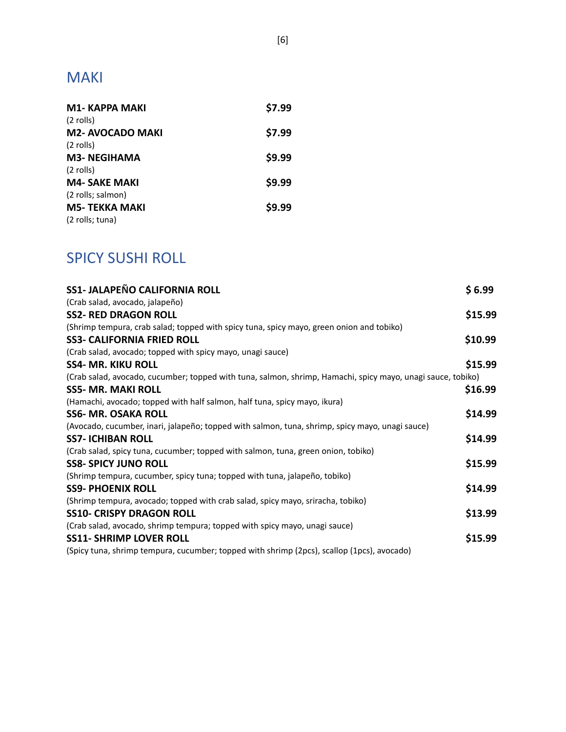# MAKI

| <b>M1-KAPPA MAKI</b>   | \$7.99 |
|------------------------|--------|
| $(2$ rolls)            |        |
| <b>M2-AVOCADO MAKI</b> | \$7.99 |
| $(2$ rolls)            |        |
| <b>M3- NEGIHAMA</b>    | \$9.99 |
| $(2$ rolls)            |        |
| <b>M4- SAKE MAKI</b>   | \$9.99 |
| (2 rolls; salmon)      |        |
| M5- TEKKA MAKI         | \$9.99 |
| (2 rolls; tuna)        |        |
|                        |        |

# SPICY SUSHI ROLL

| <b>SS1- JALAPEÑO CALIFORNIA ROLL</b>                                                                        | \$6.99  |
|-------------------------------------------------------------------------------------------------------------|---------|
| (Crab salad, avocado, jalapeño)                                                                             |         |
| <b>SS2- RED DRAGON ROLL</b>                                                                                 | \$15.99 |
| (Shrimp tempura, crab salad; topped with spicy tuna, spicy mayo, green onion and tobiko)                    |         |
| <b>SS3- CALIFORNIA FRIED ROLL</b>                                                                           | \$10.99 |
| (Crab salad, avocado; topped with spicy mayo, unagi sauce)                                                  |         |
| <b>SS4- MR. KIKU ROLL</b>                                                                                   | \$15.99 |
| (Crab salad, avocado, cucumber; topped with tuna, salmon, shrimp, Hamachi, spicy mayo, unagi sauce, tobiko) |         |
| <b>SS5- MR. MAKI ROLL</b>                                                                                   | \$16.99 |
| (Hamachi, avocado; topped with half salmon, half tuna, spicy mayo, ikura)                                   |         |
| <b>SS6- MR. OSAKA ROLL</b>                                                                                  | \$14.99 |
| (Avocado, cucumber, inari, jalapeño; topped with salmon, tuna, shrimp, spicy mayo, unagi sauce)             |         |
| <b>SS7- ICHIBAN ROLL</b>                                                                                    | \$14.99 |
| (Crab salad, spicy tuna, cucumber; topped with salmon, tuna, green onion, tobiko)                           |         |
| <b>SS8- SPICY JUNO ROLL</b>                                                                                 | \$15.99 |
| (Shrimp tempura, cucumber, spicy tuna; topped with tuna, jalapeño, tobiko)                                  |         |
| <b>SS9- PHOENIX ROLL</b>                                                                                    | \$14.99 |
| (Shrimp tempura, avocado; topped with crab salad, spicy mayo, sriracha, tobiko)                             |         |
| <b>SS10- CRISPY DRAGON ROLL</b>                                                                             | \$13.99 |
| (Crab salad, avocado, shrimp tempura; topped with spicy mayo, unagi sauce)                                  |         |
| <b>SS11- SHRIMP LOVER ROLL</b>                                                                              | \$15.99 |
| (Spicy tuna, shrimp tempura, cucumber; topped with shrimp (2pcs), scallop (1pcs), avocado)                  |         |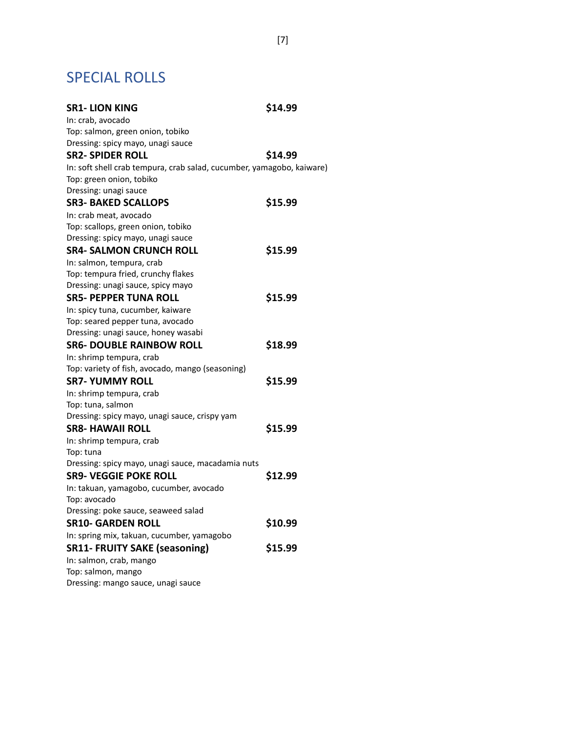# SPECIAL ROLLS

| <b>SR1-LION KING</b>                                                  | \$14.99 |
|-----------------------------------------------------------------------|---------|
| In: crab, avocado                                                     |         |
| Top: salmon, green onion, tobiko                                      |         |
| Dressing: spicy mayo, unagi sauce                                     |         |
| <b>SR2- SPIDER ROLL</b>                                               | \$14.99 |
| In: soft shell crab tempura, crab salad, cucumber, yamagobo, kaiware) |         |
| Top: green onion, tobiko                                              |         |
| Dressing: unagi sauce                                                 |         |
| <b>SR3- BAKED SCALLOPS</b>                                            | \$15.99 |
| In: crab meat, avocado                                                |         |
| Top: scallops, green onion, tobiko                                    |         |
| Dressing: spicy mayo, unagi sauce                                     |         |
| SR4- SALMON CRUNCH ROLL                                               | \$15.99 |
| In: salmon, tempura, crab                                             |         |
| Top: tempura fried, crunchy flakes                                    |         |
| Dressing: unagi sauce, spicy mayo                                     |         |
| <b>SR5- PEPPER TUNA ROLL</b>                                          | \$15.99 |
| In: spicy tuna, cucumber, kaiware                                     |         |
| Top: seared pepper tuna, avocado                                      |         |
| Dressing: unagi sauce, honey wasabi                                   |         |
| <b>SR6- DOUBLE RAINBOW ROLL</b>                                       | \$18.99 |
| In: shrimp tempura, crab                                              |         |
| Top: variety of fish, avocado, mango (seasoning)                      |         |
| <b>SR7- YUMMY ROLL</b>                                                | \$15.99 |
| In: shrimp tempura, crab                                              |         |
| Top: tuna, salmon                                                     |         |
| Dressing: spicy mayo, unagi sauce, crispy yam                         |         |
| <b>SR8- HAWAII ROLL</b>                                               | \$15.99 |
| In: shrimp tempura, crab                                              |         |
| Top: tuna                                                             |         |
| Dressing: spicy mayo, unagi sauce, macadamia nuts                     |         |
| <b>SR9- VEGGIE POKE ROLL</b>                                          | \$12.99 |
| In: takuan, yamagobo, cucumber, avocado                               |         |
| Top: avocado                                                          |         |
| Dressing: poke sauce, seaweed salad                                   |         |
| <b>SR10- GARDEN ROLL</b>                                              | \$10.99 |
| In: spring mix, takuan, cucumber, yamagobo                            |         |
| <b>SR11- FRUITY SAKE (seasoning)</b>                                  | \$15.99 |
| In: salmon, crab, mango                                               |         |
| Top: salmon, mango                                                    |         |
| Dressing: mango sauce, unagi sauce                                    |         |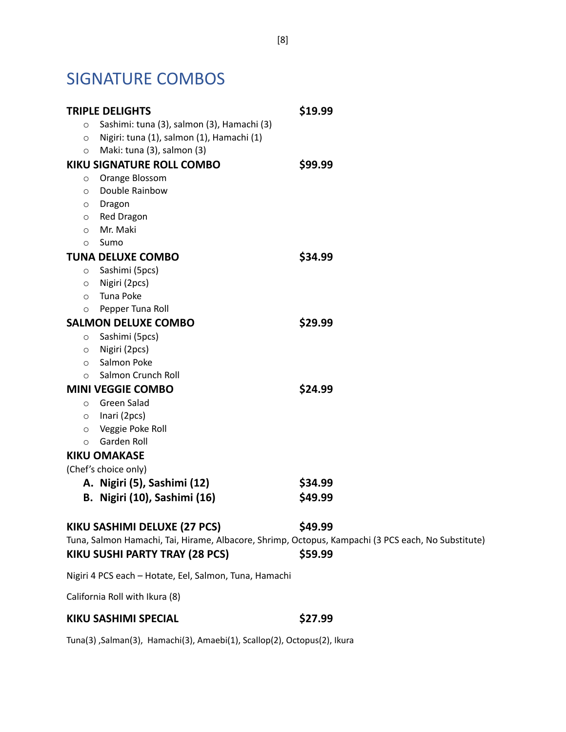# SIGNATURE COMBOS

| <b>TRIPLE DELIGHTS</b>                                                    | \$19.99 |
|---------------------------------------------------------------------------|---------|
| Sashimi: tuna (3), salmon (3), Hamachi (3)<br>$\circ$                     |         |
| Nigiri: tuna (1), salmon (1), Hamachi (1)<br>$\circ$                      |         |
| Maki: tuna (3), salmon (3)<br>$\circ$                                     |         |
| <b>KIKU SIGNATURE ROLL COMBO</b>                                          | \$99.99 |
| Orange Blossom<br>$\circ$                                                 |         |
| Double Rainbow<br>$\circ$                                                 |         |
| Dragon<br>$\circ$                                                         |         |
| Red Dragon<br>$\circ$                                                     |         |
| Mr. Maki<br>$\circ$                                                       |         |
| Sumo<br>$\circ$                                                           |         |
| <b>TUNA DELUXE COMBO</b>                                                  | \$34.99 |
| Sashimi (5pcs)<br>$\circ$                                                 |         |
| Nigiri (2pcs)<br>$\circ$                                                  |         |
| Tuna Poke<br>$\circ$                                                      |         |
| Pepper Tuna Roll<br>$\circ$                                               |         |
| <b>SALMON DELUXE COMBO</b>                                                | \$29.99 |
| Sashimi (5pcs)<br>$\circ$                                                 |         |
| Nigiri (2pcs)<br>$\circ$                                                  |         |
| Salmon Poke<br>$\circ$                                                    |         |
| Salmon Crunch Roll<br>$\circ$                                             |         |
| <b>MINI VEGGIE COMBO</b>                                                  | \$24.99 |
| Green Salad<br>$\circ$                                                    |         |
| $\circ$ Inari (2pcs)                                                      |         |
| Veggie Poke Roll<br>$\circ$                                               |         |
| Garden Roll<br>$\circ$                                                    |         |
| <b>KIKU OMAKASE</b>                                                       |         |
| (Chef's choice only)                                                      |         |
| A. Nigiri (5), Sashimi (12)                                               | \$34.99 |
| B. Nigiri (10), Sashimi (16)                                              | \$49.99 |
|                                                                           |         |
| KIKU SASHIMI DELUXE (27 PCS)                                              | \$49.99 |
| Tuna, Salmon Hamachi, Tai, Hirame, Albacore, Shrimp, Octopus, Kampachi (3 |         |
| KIKU SUSHI PARTY TRAY (28 PCS)                                            | \$59.99 |
|                                                                           |         |
| Nigiri 4 PCS each - Hotate, Eel, Salmon, Tuna, Hamachi                    |         |

California Roll with Ikura (8)

#### **KIKU SASHIMI SPECIAL \$27.99**

Tuna(3) ,Salman(3), Hamachi(3), Amaebi(1), Scallop(2), Octopus(2), Ikura

PCS each, No Substitute)